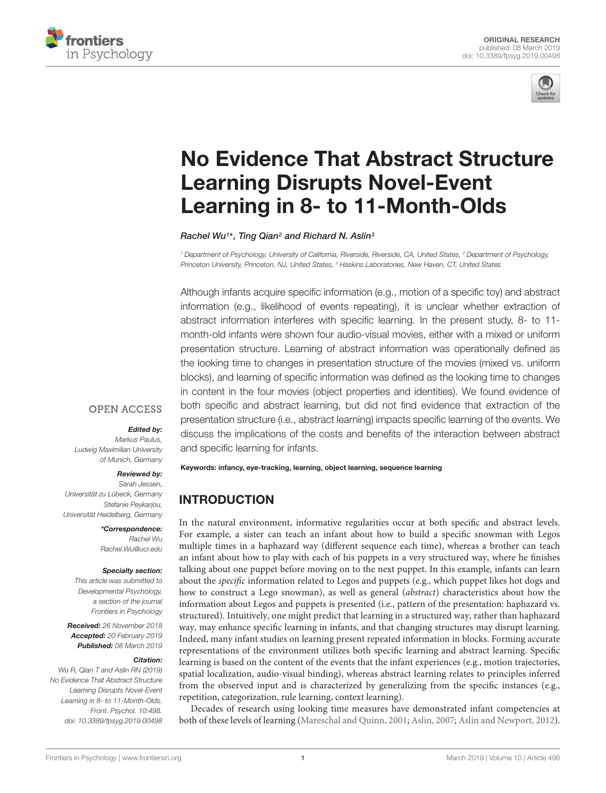



# [No Evidence That Abstract Structure](https://www.frontiersin.org/articles/10.3389/fpsyg.2019.00498/full) Learning Disrupts Novel-Event Learning in 8- to 11-Month-Olds

[Rachel Wu](http://loop.frontiersin.org/people/31087/overview)<sup>1\*</sup>, [Ting Qian](http://loop.frontiersin.org/people/52578/overview)<sup>2</sup> and Richard N. Aslin<sup>3</sup>

<sup>1</sup> Department of Psychology, University of California, Riverside, Riverside, CA, United States, <sup>2</sup> Department of Psychology, Princeton University, Princeton, NJ, United States, <sup>3</sup> Haskins Laboratories, New Haven, CT, United States

Although infants acquire specific information (e.g., motion of a specific toy) and abstract information (e.g., likelihood of events repeating), it is unclear whether extraction of abstract information interferes with specific learning. In the present study, 8- to 11 month-old infants were shown four audio-visual movies, either with a mixed or uniform presentation structure. Learning of abstract information was operationally defined as the looking time to changes in presentation structure of the movies (mixed vs. uniform blocks), and learning of specific information was defined as the looking time to changes in content in the four movies (object properties and identities). We found evidence of both specific and abstract learning, but did not find evidence that extraction of the presentation structure (i.e., abstract learning) impacts specific learning of the events. We discuss the implications of the costs and benefits of the interaction between abstract and specific learning for infants.

#### **OPEN ACCESS**

#### Edited by:

Markus Paulus, Ludwig Maximilian University of Munich, Germany

#### Reviewed by:

Sarah Jessen, Universität zu Lübeck, Germany Stefanie Peykarjou, Universität Heidelberg, Germany

> \*Correspondence: Rachel Wu Rachel.Wu@ucr.edu

#### Specialty section:

This article was submitted to Developmental Psychology, a section of the journal Frontiers in Psychology

Received: 26 November 2018 Accepted: 20 February 2019 Published: 08 March 2019

#### Citation:

Wu R, Oian T and Aslin RN (2019) No Evidence That Abstract Structure Learning Disrupts Novel-Event Learning in 8- to 11-Month-Olds. Front. Psychol. 10:498. doi: [10.3389/fpsyg.2019.00498](https://doi.org/10.3389/fpsyg.2019.00498)

Keywords: infancy, eye-tracking, learning, object learning, sequence learning

# INTRODUCTION

In the natural environment, informative regularities occur at both specific and abstract levels. For example, a sister can teach an infant about how to build a specific snowman with Legos multiple times in a haphazard way (different sequence each time), whereas a brother can teach an infant about how to play with each of his puppets in a very structured way, where he finishes talking about one puppet before moving on to the next puppet. In this example, infants can learn about the *specific* information related to Legos and puppets (e.g., which puppet likes hot dogs and how to construct a Lego snowman), as well as general (abstract) characteristics about how the information about Legos and puppets is presented (i.e., pattern of the presentation: haphazard vs. structured). Intuitively, one might predict that learning in a structured way, rather than haphazard way, may enhance specific learning in infants, and that changing structures may disrupt learning. Indeed, many infant studies on learning present repeated information in blocks. Forming accurate representations of the environment utilizes both specific learning and abstract learning. Specific learning is based on the content of the events that the infant experiences (e.g., motion trajectories, spatial localization, audio-visual binding), whereas abstract learning relates to principles inferred from the observed input and is characterized by generalizing from the specific instances (e.g., repetition, categorization, rule learning, context learning).

Decades of research using looking time measures have demonstrated infant competencies at both of these levels of learning [\(Mareschal and Quinn,](#page-9-0) [2001;](#page-9-0) [Aslin,](#page-8-0) [2007;](#page-8-0) [Aslin and Newport,](#page-8-1) [2012\)](#page-8-1).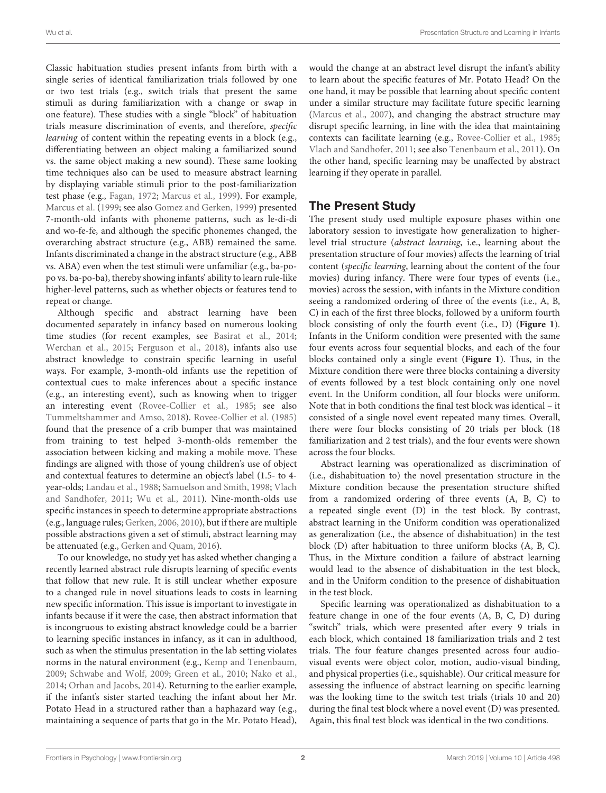Classic habituation studies present infants from birth with a single series of identical familiarization trials followed by one or two test trials (e.g., switch trials that present the same stimuli as during familiarization with a change or swap in one feature). These studies with a single "block" of habituation trials measure discrimination of events, and therefore, specific learning of content within the repeating events in a block (e.g., differentiating between an object making a familiarized sound vs. the same object making a new sound). These same looking time techniques also can be used to measure abstract learning by displaying variable stimuli prior to the post-familiarization test phase (e.g., [Fagan,](#page-8-2) [1972;](#page-8-2) [Marcus et al.,](#page-9-1) [1999\)](#page-9-1). For example, [Marcus et al.](#page-9-1) [\(1999;](#page-9-1) see also [Gomez and Gerken,](#page-8-3) [1999\)](#page-8-3) presented 7-month-old infants with phoneme patterns, such as le-di-di and wo-fe-fe, and although the specific phonemes changed, the overarching abstract structure (e.g., ABB) remained the same. Infants discriminated a change in the abstract structure (e.g., ABB vs. ABA) even when the test stimuli were unfamiliar (e.g., ba-popo vs. ba-po-ba), thereby showing infants' ability to learn rule-like higher-level patterns, such as whether objects or features tend to repeat or change.

Although specific and abstract learning have been documented separately in infancy based on numerous looking time studies (for recent examples, see [Basirat et al.,](#page-8-4) [2014;](#page-8-4) [Werchan et al.,](#page-9-2) [2015;](#page-9-2) [Ferguson et al.,](#page-8-5) [2018\)](#page-8-5), infants also use abstract knowledge to constrain specific learning in useful ways. For example, 3-month-old infants use the repetition of contextual cues to make inferences about a specific instance (e.g., an interesting event), such as knowing when to trigger an interesting event [\(Rovee-Collier et al.,](#page-9-3) [1985;](#page-9-3) see also [Tummeltshammer and Amso,](#page-9-4) [2018\)](#page-9-4). [Rovee-Collier et al.](#page-9-3) [\(1985\)](#page-9-3) found that the presence of a crib bumper that was maintained from training to test helped 3-month-olds remember the association between kicking and making a mobile move. These findings are aligned with those of young children's use of object and contextual features to determine an object's label (1.5- to 4 year-olds; [Landau et al.,](#page-9-5) [1988;](#page-9-5) [Samuelson and Smith,](#page-9-6) [1998;](#page-9-6) [Vlach](#page-9-7) [and Sandhofer,](#page-9-7) [2011;](#page-9-7) [Wu et al.,](#page-9-8) [2011\)](#page-9-8). Nine-month-olds use specific instances in speech to determine appropriate abstractions (e.g., language rules; [Gerken,](#page-8-6) [2006,](#page-8-6) [2010\)](#page-8-7), but if there are multiple possible abstractions given a set of stimuli, abstract learning may be attenuated (e.g., [Gerken and Quam,](#page-8-8) [2016\)](#page-8-8).

To our knowledge, no study yet has asked whether changing a recently learned abstract rule disrupts learning of specific events that follow that new rule. It is still unclear whether exposure to a changed rule in novel situations leads to costs in learning new specific information. This issue is important to investigate in infants because if it were the case, then abstract information that is incongruous to existing abstract knowledge could be a barrier to learning specific instances in infancy, as it can in adulthood, such as when the stimulus presentation in the lab setting violates norms in the natural environment (e.g., [Kemp and Tenenbaum,](#page-8-9) [2009;](#page-8-9) [Schwabe and Wolf,](#page-9-9) [2009;](#page-9-9) [Green et al.,](#page-8-10) [2010;](#page-8-10) [Nako et al.,](#page-9-10) [2014;](#page-9-10) [Orhan and Jacobs,](#page-9-11) [2014\)](#page-9-11). Returning to the earlier example, if the infant's sister started teaching the infant about her Mr. Potato Head in a structured rather than a haphazard way (e.g., maintaining a sequence of parts that go in the Mr. Potato Head),

would the change at an abstract level disrupt the infant's ability to learn about the specific features of Mr. Potato Head? On the one hand, it may be possible that learning about specific content under a similar structure may facilitate future specific learning [\(Marcus et al.,](#page-9-12) [2007\)](#page-9-12), and changing the abstract structure may disrupt specific learning, in line with the idea that maintaining contexts can facilitate learning (e.g., [Rovee-Collier et al.,](#page-9-3) [1985;](#page-9-3) [Vlach and Sandhofer,](#page-9-7) [2011;](#page-9-7) see also [Tenenbaum et al.,](#page-9-13) [2011\)](#page-9-13). On the other hand, specific learning may be unaffected by abstract learning if they operate in parallel.

# The Present Study

The present study used multiple exposure phases within one laboratory session to investigate how generalization to higherlevel trial structure (abstract learning, i.e., learning about the presentation structure of four movies) affects the learning of trial content (specific learning, learning about the content of the four movies) during infancy. There were four types of events (i.e., movies) across the session, with infants in the Mixture condition seeing a randomized ordering of three of the events (i.e., A, B, C) in each of the first three blocks, followed by a uniform fourth block consisting of only the fourth event (i.e., D) (**[Figure 1](#page-2-0)**). Infants in the Uniform condition were presented with the same four events across four sequential blocks, and each of the four blocks contained only a single event (**[Figure 1](#page-2-0)**). Thus, in the Mixture condition there were three blocks containing a diversity of events followed by a test block containing only one novel event. In the Uniform condition, all four blocks were uniform. Note that in both conditions the final test block was identical – it consisted of a single novel event repeated many times. Overall, there were four blocks consisting of 20 trials per block (18 familiarization and 2 test trials), and the four events were shown across the four blocks.

Abstract learning was operationalized as discrimination of (i.e., dishabituation to) the novel presentation structure in the Mixture condition because the presentation structure shifted from a randomized ordering of three events (A, B, C) to a repeated single event (D) in the test block. By contrast, abstract learning in the Uniform condition was operationalized as generalization (i.e., the absence of dishabituation) in the test block (D) after habituation to three uniform blocks (A, B, C). Thus, in the Mixture condition a failure of abstract learning would lead to the absence of dishabituation in the test block, and in the Uniform condition to the presence of dishabituation in the test block.

Specific learning was operationalized as dishabituation to a feature change in one of the four events (A, B, C, D) during "switch" trials, which were presented after every 9 trials in each block, which contained 18 familiarization trials and 2 test trials. The four feature changes presented across four audiovisual events were object color, motion, audio-visual binding, and physical properties (i.e., squishable). Our critical measure for assessing the influence of abstract learning on specific learning was the looking time to the switch test trials (trials 10 and 20) during the final test block where a novel event (D) was presented. Again, this final test block was identical in the two conditions.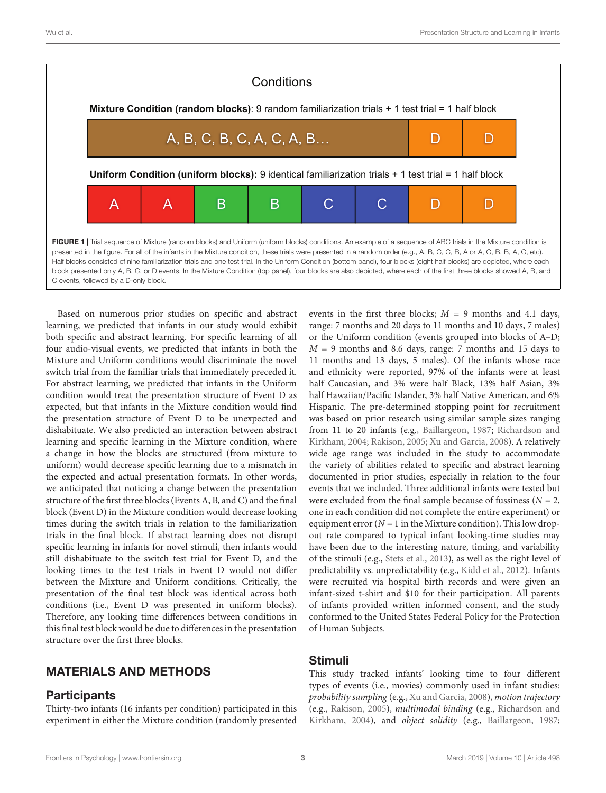

<span id="page-2-0"></span>Based on numerous prior studies on specific and abstract learning, we predicted that infants in our study would exhibit both specific and abstract learning. For specific learning of all four audio-visual events, we predicted that infants in both the Mixture and Uniform conditions would discriminate the novel switch trial from the familiar trials that immediately preceded it. For abstract learning, we predicted that infants in the Uniform condition would treat the presentation structure of Event D as expected, but that infants in the Mixture condition would find the presentation structure of Event D to be unexpected and dishabituate. We also predicted an interaction between abstract learning and specific learning in the Mixture condition, where a change in how the blocks are structured (from mixture to uniform) would decrease specific learning due to a mismatch in the expected and actual presentation formats. In other words, we anticipated that noticing a change between the presentation structure of the first three blocks (Events A, B, and C) and the final block (Event D) in the Mixture condition would decrease looking times during the switch trials in relation to the familiarization trials in the final block. If abstract learning does not disrupt specific learning in infants for novel stimuli, then infants would still dishabituate to the switch test trial for Event D, and the looking times to the test trials in Event D would not differ between the Mixture and Uniform conditions. Critically, the presentation of the final test block was identical across both conditions (i.e., Event D was presented in uniform blocks). Therefore, any looking time differences between conditions in this final test block would be due to differences in the presentation structure over the first three blocks.

# MATERIALS AND METHODS

### **Participants**

Thirty-two infants (16 infants per condition) participated in this experiment in either the Mixture condition (randomly presented

events in the first three blocks;  $M = 9$  months and 4.1 days, range: 7 months and 20 days to 11 months and 10 days, 7 males) or the Uniform condition (events grouped into blocks of A–D;  $M = 9$  months and 8.6 days, range: 7 months and 15 days to 11 months and 13 days, 5 males). Of the infants whose race and ethnicity were reported, 97% of the infants were at least half Caucasian, and 3% were half Black, 13% half Asian, 3% half Hawaiian/Pacific Islander, 3% half Native American, and 6% Hispanic. The pre-determined stopping point for recruitment was based on prior research using similar sample sizes ranging from 11 to 20 infants (e.g., [Baillargeon,](#page-8-11) [1987;](#page-8-11) [Richardson and](#page-9-14) [Kirkham,](#page-9-14) [2004;](#page-9-14) [Rakison,](#page-9-15) [2005;](#page-9-15) [Xu and Garcia,](#page-9-16) [2008\)](#page-9-16). A relatively wide age range was included in the study to accommodate the variety of abilities related to specific and abstract learning documented in prior studies, especially in relation to the four events that we included. Three additional infants were tested but were excluded from the final sample because of fussiness ( $N = 2$ , one in each condition did not complete the entire experiment) or equipment error ( $N = 1$  in the Mixture condition). This low dropout rate compared to typical infant looking-time studies may have been due to the interesting nature, timing, and variability of the stimuli (e.g., [Stets et al.,](#page-9-17) [2013\)](#page-9-17), as well as the right level of predictability vs. unpredictability (e.g., [Kidd et al.,](#page-8-12) [2012\)](#page-8-12). Infants were recruited via hospital birth records and were given an infant-sized t-shirt and \$10 for their participation. All parents of infants provided written informed consent, and the study conformed to the United States Federal Policy for the Protection of Human Subjects.

### Stimuli

This study tracked infants' looking time to four different types of events (i.e., movies) commonly used in infant studies: probability sampling (e.g., [Xu and Garcia,](#page-9-16) [2008\)](#page-9-16), motion trajectory (e.g., [Rakison,](#page-9-15) [2005\)](#page-9-15), multimodal binding (e.g., [Richardson and](#page-9-14) [Kirkham,](#page-9-14) [2004\)](#page-9-14), and object solidity (e.g., [Baillargeon,](#page-8-11) [1987;](#page-8-11)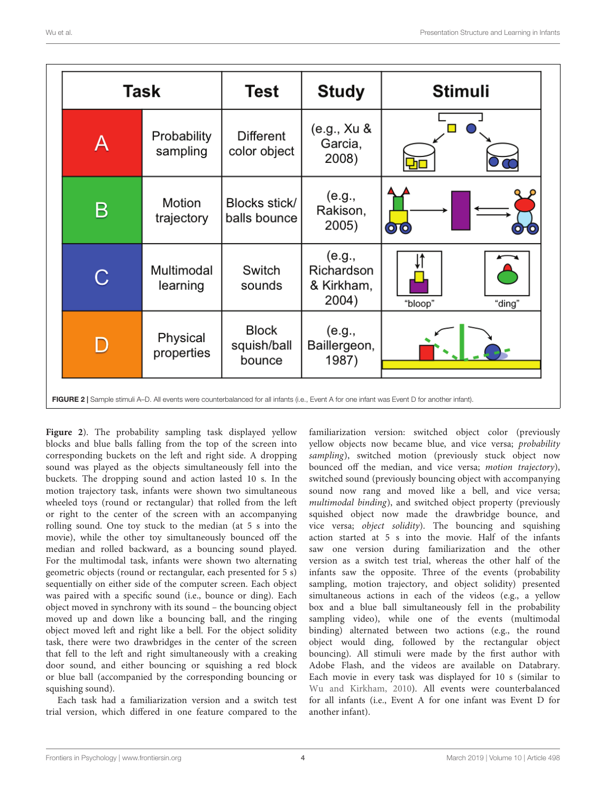| <b>Task</b> |                         | <b>Test</b>                           | <b>Study</b>                                | <b>Stimuli</b>       |  |
|-------------|-------------------------|---------------------------------------|---------------------------------------------|----------------------|--|
|             | Probability<br>sampling | <b>Different</b><br>color object      | (e.g., Xu &<br>Garcia,<br>2008)             |                      |  |
| Β           | Motion<br>trajectory    | Blocks stick/<br>balls bounce         | (e.g.,<br>Rakison,<br>2005)                 | $\odot \odot$<br>оно |  |
| С           | Multimodal<br>learning  | Switch<br>sounds                      | (e.g.,<br>Richardson<br>& Kirkham,<br>2004) | "bloop"<br>"ding"    |  |
|             | Physical<br>properties  | <b>Block</b><br>squish/ball<br>bounce | (e.g.,<br>Baillergeon,<br>1987)             |                      |  |

<span id="page-3-0"></span>**[Figure 2](#page-3-0)**). The probability sampling task displayed yellow blocks and blue balls falling from the top of the screen into corresponding buckets on the left and right side. A dropping sound was played as the objects simultaneously fell into the buckets. The dropping sound and action lasted 10 s. In the motion trajectory task, infants were shown two simultaneous wheeled toys (round or rectangular) that rolled from the left or right to the center of the screen with an accompanying rolling sound. One toy stuck to the median (at 5 s into the movie), while the other toy simultaneously bounced off the median and rolled backward, as a bouncing sound played. For the multimodal task, infants were shown two alternating geometric objects (round or rectangular, each presented for 5 s) sequentially on either side of the computer screen. Each object was paired with a specific sound (i.e., bounce or ding). Each object moved in synchrony with its sound – the bouncing object moved up and down like a bouncing ball, and the ringing object moved left and right like a bell. For the object solidity task, there were two drawbridges in the center of the screen that fell to the left and right simultaneously with a creaking door sound, and either bouncing or squishing a red block or blue ball (accompanied by the corresponding bouncing or squishing sound).

Each task had a familiarization version and a switch test trial version, which differed in one feature compared to the familiarization version: switched object color (previously yellow objects now became blue, and vice versa; probability sampling), switched motion (previously stuck object now bounced off the median, and vice versa; motion trajectory), switched sound (previously bouncing object with accompanying sound now rang and moved like a bell, and vice versa; multimodal binding), and switched object property (previously squished object now made the drawbridge bounce, and vice versa; object solidity). The bouncing and squishing action started at 5 s into the movie. Half of the infants saw one version during familiarization and the other version as a switch test trial, whereas the other half of the infants saw the opposite. Three of the events (probability sampling, motion trajectory, and object solidity) presented simultaneous actions in each of the videos (e.g., a yellow box and a blue ball simultaneously fell in the probability sampling video), while one of the events (multimodal binding) alternated between two actions (e.g., the round object would ding, followed by the rectangular object bouncing). All stimuli were made by the first author with Adobe Flash, and the videos are available on Databrary. Each movie in every task was displayed for 10 s (similar to [Wu and Kirkham,](#page-9-18) [2010\)](#page-9-18). All events were counterbalanced for all infants (i.e., Event A for one infant was Event D for another infant).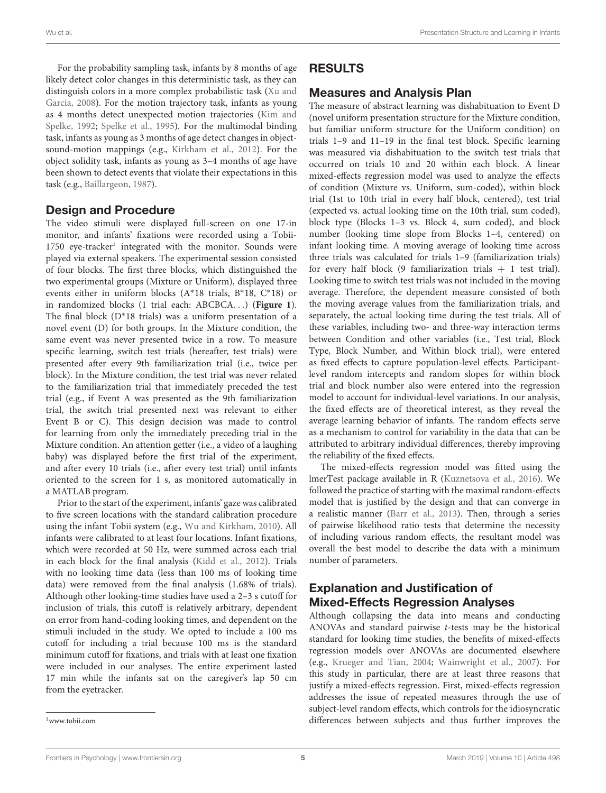For the probability sampling task, infants by 8 months of age likely detect color changes in this deterministic task, as they can distinguish colors in a more complex probabilistic task [\(Xu and](#page-9-16) [Garcia,](#page-9-16) [2008\)](#page-9-16). For the motion trajectory task, infants as young as 4 months detect unexpected motion trajectories [\(Kim and](#page-8-13) [Spelke,](#page-8-13) [1992;](#page-8-13) [Spelke et al.,](#page-9-19) [1995\)](#page-9-19). For the multimodal binding task, infants as young as 3 months of age detect changes in objectsound-motion mappings (e.g., [Kirkham et al.,](#page-8-14) [2012\)](#page-8-14). For the object solidity task, infants as young as 3–4 months of age have been shown to detect events that violate their expectations in this task (e.g., [Baillargeon,](#page-8-11) [1987\)](#page-8-11).

## Design and Procedure

The video stimuli were displayed full-screen on one 17-in monitor, and infants' fixations were recorded using a Tobii-[1](#page-4-0)750 eye-tracker<sup>1</sup> integrated with the monitor. Sounds were played via external speakers. The experimental session consisted of four blocks. The first three blocks, which distinguished the two experimental groups (Mixture or Uniform), displayed three events either in uniform blocks (A\*18 trials, B\*18, C\*18) or in randomized blocks (1 trial each: ABCBCA. . .) (**[Figure 1](#page-2-0)**). The final block (D<sup>∗</sup> 18 trials) was a uniform presentation of a novel event (D) for both groups. In the Mixture condition, the same event was never presented twice in a row. To measure specific learning, switch test trials (hereafter, test trials) were presented after every 9th familiarization trial (i.e., twice per block). In the Mixture condition, the test trial was never related to the familiarization trial that immediately preceded the test trial (e.g., if Event A was presented as the 9th familiarization trial, the switch trial presented next was relevant to either Event B or C). This design decision was made to control for learning from only the immediately preceding trial in the Mixture condition. An attention getter (i.e., a video of a laughing baby) was displayed before the first trial of the experiment, and after every 10 trials (i.e., after every test trial) until infants oriented to the screen for 1 s, as monitored automatically in a MATLAB program.

Prior to the start of the experiment, infants' gaze was calibrated to five screen locations with the standard calibration procedure using the infant Tobii system (e.g., [Wu and Kirkham,](#page-9-18) [2010\)](#page-9-18). All infants were calibrated to at least four locations. Infant fixations, which were recorded at 50 Hz, were summed across each trial in each block for the final analysis [\(Kidd et al.,](#page-8-12) [2012\)](#page-8-12). Trials with no looking time data (less than 100 ms of looking time data) were removed from the final analysis (1.68% of trials). Although other looking-time studies have used a 2–3 s cutoff for inclusion of trials, this cutoff is relatively arbitrary, dependent on error from hand-coding looking times, and dependent on the stimuli included in the study. We opted to include a 100 ms cutoff for including a trial because 100 ms is the standard minimum cutoff for fixations, and trials with at least one fixation were included in our analyses. The entire experiment lasted 17 min while the infants sat on the caregiver's lap 50 cm from the eyetracker.

# RESULTS

# Measures and Analysis Plan

The measure of abstract learning was dishabituation to Event D (novel uniform presentation structure for the Mixture condition, but familiar uniform structure for the Uniform condition) on trials 1–9 and 11–19 in the final test block. Specific learning was measured via dishabituation to the switch test trials that occurred on trials 10 and 20 within each block. A linear mixed-effects regression model was used to analyze the effects of condition (Mixture vs. Uniform, sum-coded), within block trial (1st to 10th trial in every half block, centered), test trial (expected vs. actual looking time on the 10th trial, sum coded), block type (Blocks 1–3 vs. Block 4, sum coded), and block number (looking time slope from Blocks 1–4, centered) on infant looking time. A moving average of looking time across three trials was calculated for trials 1–9 (familiarization trials) for every half block (9 familiarization trials  $+$  1 test trial). Looking time to switch test trials was not included in the moving average. Therefore, the dependent measure consisted of both the moving average values from the familiarization trials, and separately, the actual looking time during the test trials. All of these variables, including two- and three-way interaction terms between Condition and other variables (i.e., Test trial, Block Type, Block Number, and Within block trial), were entered as fixed effects to capture population-level effects. Participantlevel random intercepts and random slopes for within block trial and block number also were entered into the regression model to account for individual-level variations. In our analysis, the fixed effects are of theoretical interest, as they reveal the average learning behavior of infants. The random effects serve as a mechanism to control for variability in the data that can be attributed to arbitrary individual differences, thereby improving the reliability of the fixed effects.

The mixed-effects regression model was fitted using the lmerTest package available in R [\(Kuznetsova et al.,](#page-9-20) [2016\)](#page-9-20). We followed the practice of starting with the maximal random-effects model that is justified by the design and that can converge in a realistic manner [\(Barr et al.,](#page-8-15) [2013\)](#page-8-15). Then, through a series of pairwise likelihood ratio tests that determine the necessity of including various random effects, the resultant model was overall the best model to describe the data with a minimum number of parameters.

# Explanation and Justification of Mixed-Effects Regression Analyses

Although collapsing the data into means and conducting ANOVAs and standard pairwise t-tests may be the historical standard for looking time studies, the benefits of mixed-effects regression models over ANOVAs are documented elsewhere (e.g., [Krueger and Tian,](#page-8-16) [2004;](#page-8-16) [Wainwright et al.,](#page-9-21) [2007\)](#page-9-21). For this study in particular, there are at least three reasons that justify a mixed-effects regression. First, mixed-effects regression addresses the issue of repeated measures through the use of subject-level random effects, which controls for the idiosyncratic differences between subjects and thus further improves the

<span id="page-4-0"></span><sup>1</sup><www.tobii.com>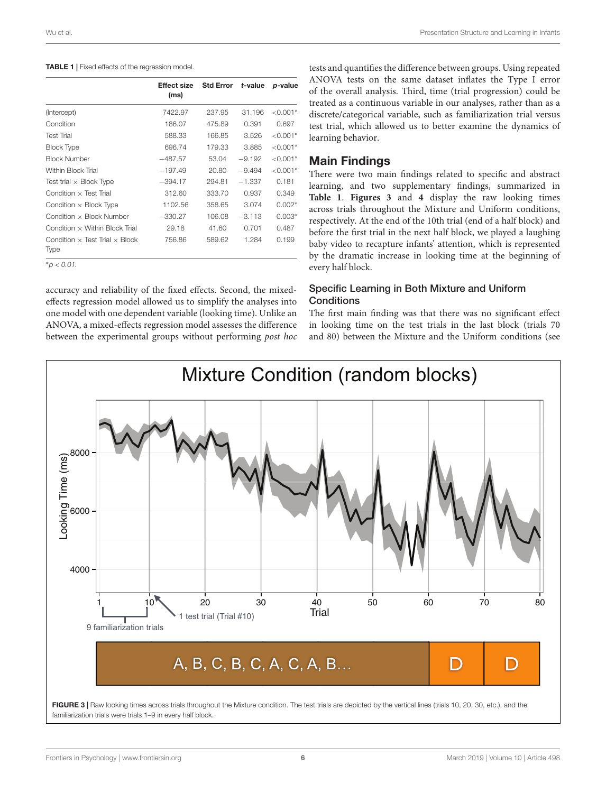#### <span id="page-5-0"></span>TABLE 1 | Fixed effects of the regression model.

|                                                             | <b>Effect size</b><br>(ms) | <b>Std Error</b> | t-value  | <i>p</i> -value |
|-------------------------------------------------------------|----------------------------|------------------|----------|-----------------|
| (Intercept)                                                 | 7422.97                    | 237.95           | 31.196   | $< 0.001*$      |
| Condition                                                   | 186.07                     | 475.89           | 0.391    | 0.697           |
| <b>Test Trial</b>                                           | 588.33                     | 166.85           | 3.526    | $< 0.001*$      |
| <b>Block Type</b>                                           | 696.74                     | 179.33           | 3.885    | $< 0.001*$      |
| <b>Block Number</b>                                         | $-487.57$                  | 53.04            | $-9.192$ | $< 0.001*$      |
| <b>Within Block Trial</b>                                   | $-197.49$                  | 20.80            | $-9.494$ | $< 0.001*$      |
| Test trial $\times$ Block Type                              | $-394.17$                  | 294.81           | $-1.337$ | 0.181           |
| Condition $\times$ Test Trial                               | 312.60                     | 333.70           | 0.937    | 0.349           |
| Condition $\times$ Block Type                               | 1102.56                    | 358.65           | 3.074    | $0.002*$        |
| Condition $\times$ Block Number                             | $-330.27$                  | 106.08           | $-3.113$ | $0.003*$        |
| Condition $\times$ Within Block Trial                       | 29.18                      | 41.60            | 0.701    | 0.487           |
| Condition $\times$ Test Trial $\times$ Block<br><b>Type</b> | 756.86                     | 589.62           | 1.284    | 0.199           |

 $*_{\text{D}} < 0.01$ .

accuracy and reliability of the fixed effects. Second, the mixedeffects regression model allowed us to simplify the analyses into one model with one dependent variable (looking time). Unlike an ANOVA, a mixed-effects regression model assesses the difference between the experimental groups without performing post hoc tests and quantifies the difference between groups. Using repeated ANOVA tests on the same dataset inflates the Type I error of the overall analysis. Third, time (trial progression) could be treated as a continuous variable in our analyses, rather than as a discrete/categorical variable, such as familiarization trial versus test trial, which allowed us to better examine the dynamics of learning behavior.

#### Main Findings

There were two main findings related to specific and abstract learning, and two supplementary findings, summarized in **[Table 1](#page-5-0)**. **[Figures 3](#page-5-1)** and **[4](#page-6-0)** display the raw looking times across trials throughout the Mixture and Uniform conditions, respectively. At the end of the 10th trial (end of a half block) and before the first trial in the next half block, we played a laughing baby video to recapture infants' attention, which is represented by the dramatic increase in looking time at the beginning of every half block.

#### Specific Learning in Both Mixture and Uniform **Conditions**

The first main finding was that there was no significant effect in looking time on the test trials in the last block (trials 70 and 80) between the Mixture and the Uniform conditions (see

<span id="page-5-1"></span>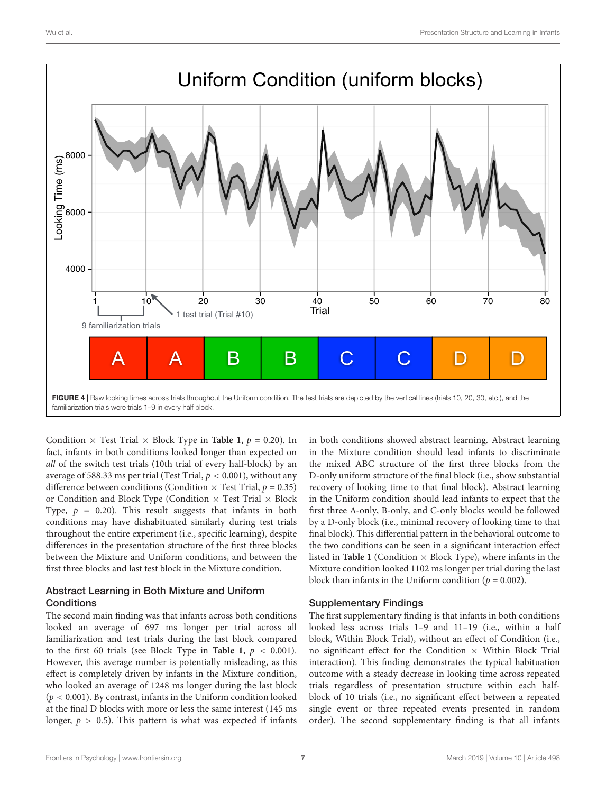

<span id="page-6-0"></span>Condition  $\times$  Test Trial  $\times$  Block Type in **[Table 1](#page-5-0)**,  $p = 0.20$ ). In fact, infants in both conditions looked longer than expected on all of the switch test trials (10th trial of every half-block) by an average of 588.33 ms per trial (Test Trial,  $p < 0.001$ ), without any difference between conditions (Condition  $\times$  Test Trial,  $p = 0.35$ ) or Condition and Block Type (Condition  $\times$  Test Trial  $\times$  Block Type,  $p = 0.20$ ). This result suggests that infants in both conditions may have dishabituated similarly during test trials throughout the entire experiment (i.e., specific learning), despite differences in the presentation structure of the first three blocks between the Mixture and Uniform conditions, and between the first three blocks and last test block in the Mixture condition.

### Abstract Learning in Both Mixture and Uniform **Conditions**

The second main finding was that infants across both conditions looked an average of 697 ms longer per trial across all familiarization and test trials during the last block compared to the first 60 trials (see Block Type in **[Table 1](#page-5-0)**,  $p < 0.001$ ). However, this average number is potentially misleading, as this effect is completely driven by infants in the Mixture condition, who looked an average of 1248 ms longer during the last block  $(p < 0.001)$ . By contrast, infants in the Uniform condition looked at the final D blocks with more or less the same interest (145 ms longer,  $p > 0.5$ ). This pattern is what was expected if infants

in both conditions showed abstract learning. Abstract learning in the Mixture condition should lead infants to discriminate the mixed ABC structure of the first three blocks from the D-only uniform structure of the final block (i.e., show substantial recovery of looking time to that final block). Abstract learning in the Uniform condition should lead infants to expect that the first three A-only, B-only, and C-only blocks would be followed by a D-only block (i.e., minimal recovery of looking time to that final block). This differential pattern in the behavioral outcome to the two conditions can be seen in a significant interaction effect listed in **[Table 1](#page-5-0)** (Condition  $\times$  Block Type), where infants in the Mixture condition looked 1102 ms longer per trial during the last block than infants in the Uniform condition ( $p = 0.002$ ).

### Supplementary Findings

The first supplementary finding is that infants in both conditions looked less across trials 1–9 and 11–19 (i.e., within a half block, Within Block Trial), without an effect of Condition (i.e., no significant effect for the Condition  $\times$  Within Block Trial interaction). This finding demonstrates the typical habituation outcome with a steady decrease in looking time across repeated trials regardless of presentation structure within each halfblock of 10 trials (i.e., no significant effect between a repeated single event or three repeated events presented in random order). The second supplementary finding is that all infants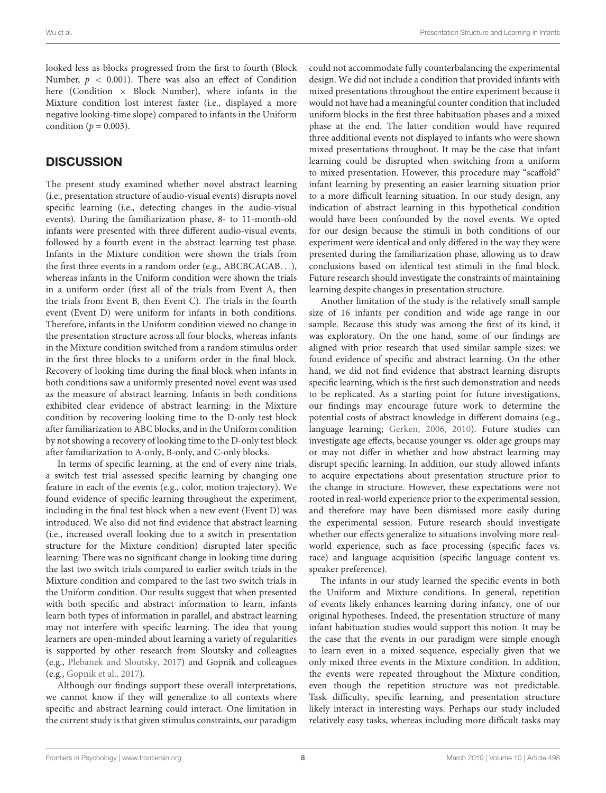looked less as blocks progressed from the first to fourth (Block Number,  $p < 0.001$ ). There was also an effect of Condition here (Condition  $\times$  Block Number), where infants in the Mixture condition lost interest faster (i.e., displayed a more negative looking-time slope) compared to infants in the Uniform condition ( $p = 0.003$ ).

# **DISCUSSION**

The present study examined whether novel abstract learning (i.e., presentation structure of audio-visual events) disrupts novel specific learning (i.e., detecting changes in the audio-visual events). During the familiarization phase, 8- to 11-month-old infants were presented with three different audio-visual events, followed by a fourth event in the abstract learning test phase. Infants in the Mixture condition were shown the trials from the first three events in a random order (e.g., ABCBCACAB. . .), whereas infants in the Uniform condition were shown the trials in a uniform order (first all of the trials from Event A, then the trials from Event B, then Event C). The trials in the fourth event (Event D) were uniform for infants in both conditions. Therefore, infants in the Uniform condition viewed no change in the presentation structure across all four blocks, whereas infants in the Mixture condition switched from a random stimulus order in the first three blocks to a uniform order in the final block. Recovery of looking time during the final block when infants in both conditions saw a uniformly presented novel event was used as the measure of abstract learning. Infants in both conditions exhibited clear evidence of abstract learning: in the Mixture condition by recovering looking time to the D-only test block after familiarization to ABC blocks, and in the Uniform condition by not showing a recovery of looking time to the D-only test block after familiarization to A-only, B-only, and C-only blocks.

In terms of specific learning, at the end of every nine trials, a switch test trial assessed specific learning by changing one feature in each of the events (e.g., color, motion trajectory). We found evidence of specific learning throughout the experiment, including in the final test block when a new event (Event D) was introduced. We also did not find evidence that abstract learning (i.e., increased overall looking due to a switch in presentation structure for the Mixture condition) disrupted later specific learning: There was no significant change in looking time during the last two switch trials compared to earlier switch trials in the Mixture condition and compared to the last two switch trials in the Uniform condition. Our results suggest that when presented with both specific and abstract information to learn, infants learn both types of information in parallel, and abstract learning may not interfere with specific learning. The idea that young learners are open-minded about learning a variety of regularities is supported by other research from Sloutsky and colleagues (e.g., [Plebanek and Sloutsky,](#page-9-22) [2017\)](#page-9-22) and Gopnik and colleagues (e.g., [Gopnik et al.,](#page-8-17) [2017\)](#page-8-17).

Although our findings support these overall interpretations, we cannot know if they will generalize to all contexts where specific and abstract learning could interact. One limitation in the current study is that given stimulus constraints, our paradigm

could not accommodate fully counterbalancing the experimental design. We did not include a condition that provided infants with mixed presentations throughout the entire experiment because it would not have had a meaningful counter condition that included uniform blocks in the first three habituation phases and a mixed phase at the end. The latter condition would have required three additional events not displayed to infants who were shown mixed presentations throughout. It may be the case that infant learning could be disrupted when switching from a uniform to mixed presentation. However, this procedure may "scaffold" infant learning by presenting an easier learning situation prior to a more difficult learning situation. In our study design, any indication of abstract learning in this hypothetical condition would have been confounded by the novel events. We opted for our design because the stimuli in both conditions of our experiment were identical and only differed in the way they were presented during the familiarization phase, allowing us to draw conclusions based on identical test stimuli in the final block. Future research should investigate the constraints of maintaining learning despite changes in presentation structure.

Another limitation of the study is the relatively small sample size of 16 infants per condition and wide age range in our sample. Because this study was among the first of its kind, it was exploratory. On the one hand, some of our findings are aligned with prior research that used similar sample sizes: we found evidence of specific and abstract learning. On the other hand, we did not find evidence that abstract learning disrupts specific learning, which is the first such demonstration and needs to be replicated. As a starting point for future investigations, our findings may encourage future work to determine the potential costs of abstract knowledge in different domains (e.g., language learning; [Gerken,](#page-8-6) [2006,](#page-8-6) [2010\)](#page-8-7). Future studies can investigate age effects, because younger vs. older age groups may or may not differ in whether and how abstract learning may disrupt specific learning. In addition, our study allowed infants to acquire expectations about presentation structure prior to the change in structure. However, these expectations were not rooted in real-world experience prior to the experimental session, and therefore may have been dismissed more easily during the experimental session. Future research should investigate whether our effects generalize to situations involving more realworld experience, such as face processing (specific faces vs. race) and language acquisition (specific language content vs. speaker preference).

The infants in our study learned the specific events in both the Uniform and Mixture conditions. In general, repetition of events likely enhances learning during infancy, one of our original hypotheses. Indeed, the presentation structure of many infant habituation studies would support this notion. It may be the case that the events in our paradigm were simple enough to learn even in a mixed sequence, especially given that we only mixed three events in the Mixture condition. In addition, the events were repeated throughout the Mixture condition, even though the repetition structure was not predictable. Task difficulty, specific learning, and presentation structure likely interact in interesting ways. Perhaps our study included relatively easy tasks, whereas including more difficult tasks may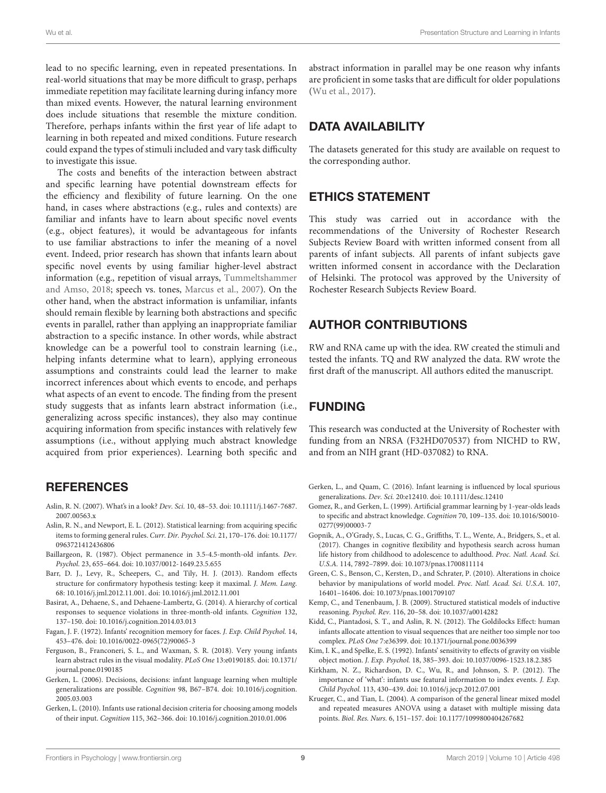lead to no specific learning, even in repeated presentations. In real-world situations that may be more difficult to grasp, perhaps immediate repetition may facilitate learning during infancy more than mixed events. However, the natural learning environment does include situations that resemble the mixture condition. Therefore, perhaps infants within the first year of life adapt to learning in both repeated and mixed conditions. Future research could expand the types of stimuli included and vary task difficulty to investigate this issue.

The costs and benefits of the interaction between abstract and specific learning have potential downstream effects for the efficiency and flexibility of future learning. On the one hand, in cases where abstractions (e.g., rules and contexts) are familiar and infants have to learn about specific novel events (e.g., object features), it would be advantageous for infants to use familiar abstractions to infer the meaning of a novel event. Indeed, prior research has shown that infants learn about specific novel events by using familiar higher-level abstract information (e.g., repetition of visual arrays, [Tummeltshammer](#page-9-4) [and Amso,](#page-9-4) [2018;](#page-9-4) speech vs. tones, [Marcus et al.,](#page-9-12) [2007\)](#page-9-12). On the other hand, when the abstract information is unfamiliar, infants should remain flexible by learning both abstractions and specific events in parallel, rather than applying an inappropriate familiar abstraction to a specific instance. In other words, while abstract knowledge can be a powerful tool to constrain learning (i.e., helping infants determine what to learn), applying erroneous assumptions and constraints could lead the learner to make incorrect inferences about which events to encode, and perhaps what aspects of an event to encode. The finding from the present study suggests that as infants learn abstract information (i.e., generalizing across specific instances), they also may continue acquiring information from specific instances with relatively few assumptions (i.e., without applying much abstract knowledge acquired from prior experiences). Learning both specific and

### **REFERENCES**

- <span id="page-8-0"></span>Aslin, R. N. (2007). What's in a look? Dev. Sci. 10, 48–53. [doi: 10.1111/j.1467-7687.](https://doi.org/10.1111/j.1467-7687.2007.00563.x) [2007.00563.x](https://doi.org/10.1111/j.1467-7687.2007.00563.x)
- <span id="page-8-1"></span>Aslin, R. N., and Newport, E. L. (2012). Statistical learning: from acquiring specific items to forming general rules. Curr. Dir. Psychol. Sci. 21, 170–176. [doi: 10.1177/](https://doi.org/10.1177/0963721412436806) [0963721412436806](https://doi.org/10.1177/0963721412436806)
- <span id="page-8-11"></span>Baillargeon, R. (1987). Object permanence in 3.5-4.5-month-old infants. Dev. Psychol. 23, 655–664. [doi: 10.1037/0012-1649.23.5.655](https://doi.org/10.1037/0012-1649.23.5.655)
- <span id="page-8-15"></span>Barr, D. J., Levy, R., Scheepers, C., and Tily, H. J. (2013). Random effects structure for confirmatory hypothesis testing: keep it maximal. J. Mem. Lang. 68: 10.1016/j.jml.2012.11.001. [doi: 10.1016/j.jml.2012.11.001](https://doi.org/10.1016/j.jml.2012.11.001)
- <span id="page-8-4"></span>Basirat, A., Dehaene, S., and Dehaene-Lambertz, G. (2014). A hierarchy of cortical responses to sequence violations in three-month-old infants. Cognition 132, 137–150. [doi: 10.1016/j.cognition.2014.03.013](https://doi.org/10.1016/j.cognition.2014.03.013)
- <span id="page-8-2"></span>Fagan, J. F. (1972). Infants' recognition memory for faces. J. Exp. Child Psychol. 14, 453–476. [doi: 10.1016/0022-0965\(72\)90065-3](https://doi.org/10.1016/0022-0965(72)90065-3)
- <span id="page-8-5"></span>Ferguson, B., Franconeri, S. L., and Waxman, S. R. (2018). Very young infants learn abstract rules in the visual modality. PLoS One 13:e0190185. [doi: 10.1371/](https://doi.org/10.1371/journal.pone.0190185) [journal.pone.0190185](https://doi.org/10.1371/journal.pone.0190185)
- <span id="page-8-6"></span>Gerken, L. (2006). Decisions, decisions: infant language learning when multiple generalizations are possible. Cognition 98, B67–B74. [doi: 10.1016/j.cognition.](https://doi.org/10.1016/j.cognition.2005.03.003) [2005.03.003](https://doi.org/10.1016/j.cognition.2005.03.003)
- <span id="page-8-7"></span>Gerken, L. (2010). Infants use rational decision criteria for choosing among models of their input. Cognition 115, 362–366. [doi: 10.1016/j.cognition.2010.01.006](https://doi.org/10.1016/j.cognition.2010.01.006)

abstract information in parallel may be one reason why infants are proficient in some tasks that are difficult for older populations [\(Wu et al.,](#page-9-23) [2017\)](#page-9-23).

# DATA AVAILABILITY

The datasets generated for this study are available on request to the corresponding author.

## ETHICS STATEMENT

This study was carried out in accordance with the recommendations of the University of Rochester Research Subjects Review Board with written informed consent from all parents of infant subjects. All parents of infant subjects gave written informed consent in accordance with the Declaration of Helsinki. The protocol was approved by the University of Rochester Research Subjects Review Board.

# AUTHOR CONTRIBUTIONS

RW and RNA came up with the idea. RW created the stimuli and tested the infants. TQ and RW analyzed the data. RW wrote the first draft of the manuscript. All authors edited the manuscript.

# FUNDING

This research was conducted at the University of Rochester with funding from an NRSA (F32HD070537) from NICHD to RW, and from an NIH grant (HD-037082) to RNA.

- <span id="page-8-8"></span>Gerken, L., and Quam, C. (2016). Infant learning is influenced by local spurious generalizations. Dev. Sci. 20:e12410. [doi: 10.1111/desc.12410](https://doi.org/10.1111/desc.12410)
- <span id="page-8-3"></span>Gomez, R., and Gerken, L. (1999). Artificial grammar learning by 1-year-olds leads to specific and abstract knowledge. Cognition 70, 109–135. [doi: 10.1016/S0010-](https://doi.org/10.1016/S0010-0277(99)00003-7) [0277\(99\)00003-7](https://doi.org/10.1016/S0010-0277(99)00003-7)
- <span id="page-8-17"></span>Gopnik, A., O'Grady, S., Lucas, C. G., Griffiths, T. L., Wente, A., Bridgers, S., et al. (2017). Changes in cognitive flexibility and hypothesis search across human life history from childhood to adolescence to adulthood. Proc. Natl. Acad. Sci. U.S.A. 114, 7892–7899. [doi: 10.1073/pnas.1700811114](https://doi.org/10.1073/pnas.1700811114)
- <span id="page-8-10"></span>Green, C. S., Benson, C., Kersten, D., and Schrater, P. (2010). Alterations in choice behavior by manipulations of world model. Proc. Natl. Acad. Sci. U.S.A. 107, 16401–16406. [doi: 10.1073/pnas.1001709107](https://doi.org/10.1073/pnas.1001709107)
- <span id="page-8-9"></span>Kemp, C., and Tenenbaum, J. B. (2009). Structured statistical models of inductive reasoning. Psychol. Rev. 116, 20–58. [doi: 10.1037/a0014282](https://doi.org/10.1037/a0014282)
- <span id="page-8-12"></span>Kidd, C., Piantadosi, S. T., and Aslin, R. N. (2012). The Goldilocks Effect: human infants allocate attention to visual sequences that are neither too simple nor too complex. PLoS One 7:e36399. [doi: 10.1371/journal.pone.0036399](https://doi.org/10.1371/journal.pone.0036399)
- <span id="page-8-13"></span>Kim, I. K., and Spelke, E. S. (1992). Infants' sensitivity to effects of gravity on visible object motion. J. Exp. Psychol. 18, 385–393. [doi: 10.1037/0096-1523.18.2.385](https://doi.org/10.1037/0096-1523.18.2.385)
- <span id="page-8-14"></span>Kirkham, N. Z., Richardson, D. C., Wu, R., and Johnson, S. P. (2012). The importance of 'what': infants use featural information to index events. J. Exp. Child Psychol. 113, 430–439. [doi: 10.1016/j.jecp.2012.07.001](https://doi.org/10.1016/j.jecp.2012.07.001)
- <span id="page-8-16"></span>Krueger, C., and Tian, L. (2004). A comparison of the general linear mixed model and repeated measures ANOVA using a dataset with multiple missing data points. Biol. Res. Nurs. 6, 151–157. [doi: 10.1177/1099800404267682](https://doi.org/10.1177/1099800404267682)